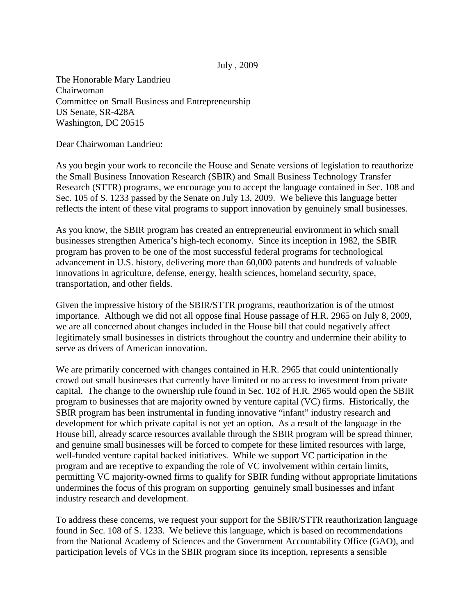## July , 2009

The Honorable Mary Landrieu Chairwoman Committee on Small Business and Entrepreneurship US Senate, SR-428A Washington, DC 20515

Dear Chairwoman Landrieu:

As you begin your work to reconcile the House and Senate versions of legislation to reauthorize the Small Business Innovation Research (SBIR) and Small Business Technology Transfer Research (STTR) programs, we encourage you to accept the language contained in Sec. 108 and Sec. 105 of S. 1233 passed by the Senate on July 13, 2009. We believe this language better reflects the intent of these vital programs to support innovation by genuinely small businesses.

As you know, the SBIR program has created an entrepreneurial environment in which small businesses strengthen America's high-tech economy. Since its inception in 1982, the SBIR program has proven to be one of the most successful federal programs for technological advancement in U.S. history, delivering more than 60,000 patents and hundreds of valuable innovations in agriculture, defense, energy, health sciences, homeland security, space, transportation, and other fields.

Given the impressive history of the SBIR/STTR programs, reauthorization is of the utmost importance. Although we did not all oppose final House passage of H.R. 2965 on July 8, 2009, we are all concerned about changes included in the House bill that could negatively affect legitimately small businesses in districts throughout the country and undermine their ability to serve as drivers of American innovation.

We are primarily concerned with changes contained in H.R. 2965 that could unintentionally crowd out small businesses that currently have limited or no access to investment from private capital. The change to the ownership rule found in Sec. 102 of H.R. 2965 would open the SBIR program to businesses that are majority owned by venture capital (VC) firms. Historically, the SBIR program has been instrumental in funding innovative "infant" industry research and development for which private capital is not yet an option. As a result of the language in the House bill, already scarce resources available through the SBIR program will be spread thinner, and genuine small businesses will be forced to compete for these limited resources with large, well-funded venture capital backed initiatives. While we support VC participation in the program and are receptive to expanding the role of VC involvement within certain limits, permitting VC majority-owned firms to qualify for SBIR funding without appropriate limitations undermines the focus of this program on supporting genuinely small businesses and infant industry research and development.

To address these concerns, we request your support for the SBIR/STTR reauthorization language found in Sec. 108 of S. 1233. We believe this language, which is based on recommendations from the National Academy of Sciences and the Government Accountability Office (GAO), and participation levels of VCs in the SBIR program since its inception, represents a sensible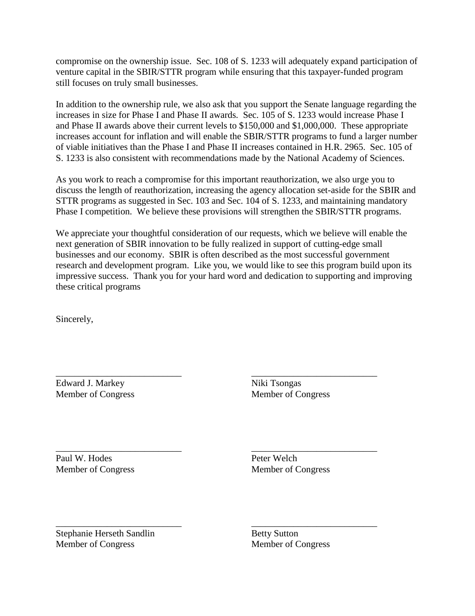compromise on the ownership issue. Sec. 108 of S. 1233 will adequately expand participation of venture capital in the SBIR/STTR program while ensuring that this taxpayer-funded program still focuses on truly small businesses.

In addition to the ownership rule, we also ask that you support the Senate language regarding the increases in size for Phase I and Phase II awards. Sec. 105 of S. 1233 would increase Phase I and Phase II awards above their current levels to \$150,000 and \$1,000,000. These appropriate increases account for inflation and will enable the SBIR/STTR programs to fund a larger number of viable initiatives than the Phase I and Phase II increases contained in H.R. 2965. Sec. 105 of S. 1233 is also consistent with recommendations made by the National Academy of Sciences.

As you work to reach a compromise for this important reauthorization, we also urge you to discuss the length of reauthorization, increasing the agency allocation set-aside for the SBIR and STTR programs as suggested in Sec. 103 and Sec. 104 of S. 1233, and maintaining mandatory Phase I competition. We believe these provisions will strengthen the SBIR/STTR programs.

We appreciate your thoughtful consideration of our requests, which we believe will enable the next generation of SBIR innovation to be fully realized in support of cutting-edge small businesses and our economy. SBIR is often described as the most successful government research and development program. Like you, we would like to see this program build upon its impressive success. Thank you for your hard word and dedication to supporting and improving these critical programs

Sincerely,

\_\_\_\_\_\_\_\_\_\_\_\_\_\_\_\_\_\_\_\_\_\_\_\_\_\_\_ \_\_\_\_\_\_\_\_\_\_\_\_\_\_\_\_\_\_\_\_\_\_\_\_\_\_\_ Edward J. Markey Niki Tsongas Member of Congress Member of Congress

Paul W. Hodes Peter Welch Member of Congress Member of Congress

\_\_\_\_\_\_\_\_\_\_\_\_\_\_\_\_\_\_\_\_\_\_\_\_\_\_\_ \_\_\_\_\_\_\_\_\_\_\_\_\_\_\_\_\_\_\_\_\_\_\_\_\_\_\_

\_\_\_\_\_\_\_\_\_\_\_\_\_\_\_\_\_\_\_\_\_\_\_\_\_\_\_ \_\_\_\_\_\_\_\_\_\_\_\_\_\_\_\_\_\_\_\_\_\_\_\_\_\_\_ Stephanie Herseth Sandlin Betty Sutton<br>
Member of Congress
Member of Congress
Betty Sutton<br>
Member of Congress
Betty Sutton Member of Congress